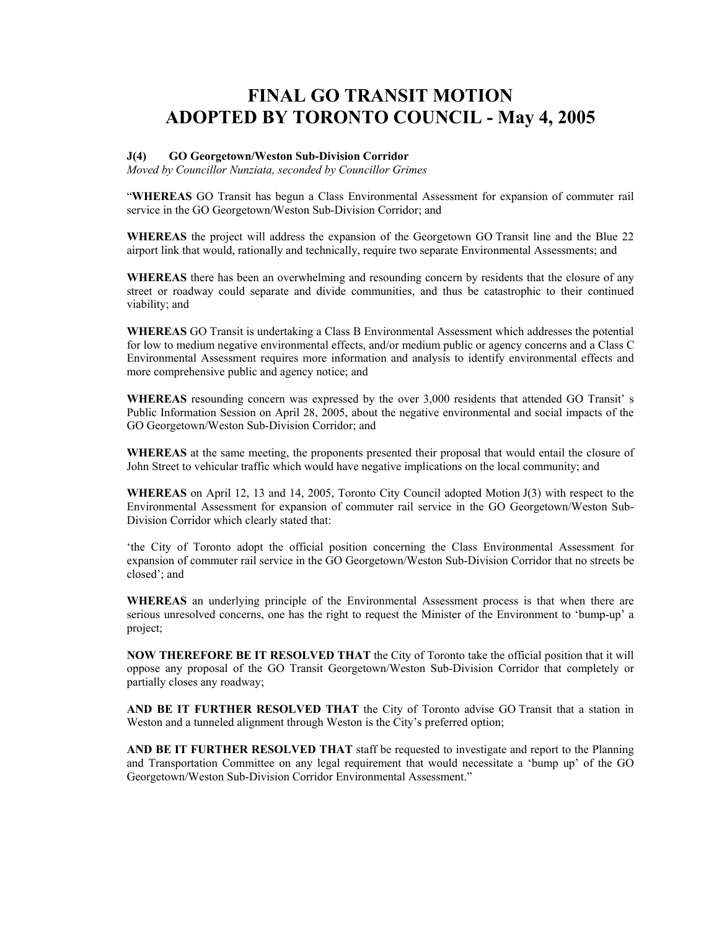## **FINAL GO TRANSIT MOTION ADOPTED BY TORONTO COUNCIL - May 4, 2005**

## **J(4) GO Georgetown/Weston Sub-Division Corridor**

*Moved by Councillor Nunziata, seconded by Councillor Grimes* 

"**WHEREAS** GO Transit has begun a Class Environmental Assessment for expansion of commuter rail service in the GO Georgetown/Weston Sub-Division Corridor; and

**WHEREAS** the project will address the expansion of the Georgetown GO Transit line and the Blue 22 airport link that would, rationally and technically, require two separate Environmental Assessments; and

**WHEREAS** there has been an overwhelming and resounding concern by residents that the closure of any street or roadway could separate and divide communities, and thus be catastrophic to their continued viability; and

**WHEREAS** GO Transit is undertaking a Class B Environmental Assessment which addresses the potential for low to medium negative environmental effects, and/or medium public or agency concerns and a Class C Environmental Assessment requires more information and analysis to identify environmental effects and more comprehensive public and agency notice; and

**WHEREAS** resounding concern was expressed by the over 3,000 residents that attended GO Transit' s Public Information Session on April 28, 2005, about the negative environmental and social impacts of the GO Georgetown/Weston Sub-Division Corridor; and

**WHEREAS** at the same meeting, the proponents presented their proposal that would entail the closure of John Street to vehicular traffic which would have negative implications on the local community; and

**WHEREAS** on April 12, 13 and 14, 2005, Toronto City Council adopted Motion J(3) with respect to the Environmental Assessment for expansion of commuter rail service in the GO Georgetown/Weston Sub-Division Corridor which clearly stated that:

'the City of Toronto adopt the official position concerning the Class Environmental Assessment for expansion of commuter rail service in the GO Georgetown/Weston Sub-Division Corridor that no streets be closed'; and

**WHEREAS** an underlying principle of the Environmental Assessment process is that when there are serious unresolved concerns, one has the right to request the Minister of the Environment to 'bump-up' a project;

**NOW THEREFORE BE IT RESOLVED THAT** the City of Toronto take the official position that it will oppose any proposal of the GO Transit Georgetown/Weston Sub-Division Corridor that completely or partially closes any roadway;

**AND BE IT FURTHER RESOLVED THAT** the City of Toronto advise GO Transit that a station in Weston and a tunneled alignment through Weston is the City's preferred option;

**AND BE IT FURTHER RESOLVED THAT** staff be requested to investigate and report to the Planning and Transportation Committee on any legal requirement that would necessitate a 'bump up' of the GO Georgetown/Weston Sub-Division Corridor Environmental Assessment."